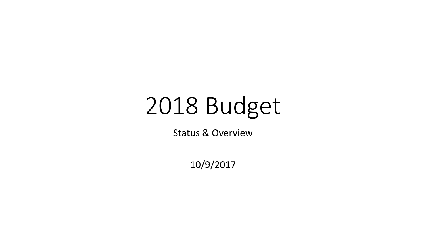# 2018 Budget

Status & Overview

10/9/2017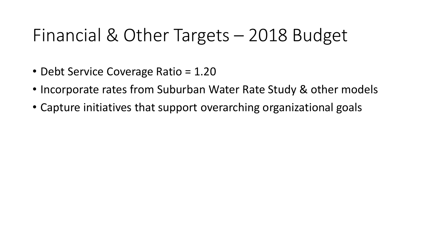#### Financial & Other Targets – 2018 Budget

- Debt Service Coverage Ratio = 1.20
- Incorporate rates from Suburban Water Rate Study & other models
- Capture initiatives that support overarching organizational goals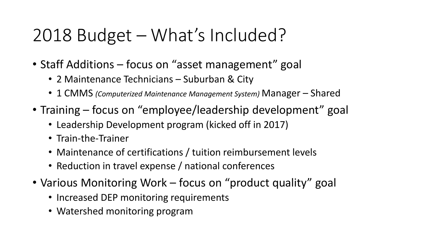#### 2018 Budget – What's Included?

- Staff Additions focus on "asset management" goal
	- 2 Maintenance Technicians Suburban & City
	- 1 CMMS *(Computerized Maintenance Management System)* Manager Shared
- Training focus on "employee/leadership development" goal
	- Leadership Development program (kicked off in 2017)
	- Train-the-Trainer
	- Maintenance of certifications / tuition reimbursement levels
	- Reduction in travel expense / national conferences
- Various Monitoring Work focus on "product quality" goal
	- Increased DEP monitoring requirements
	- Watershed monitoring program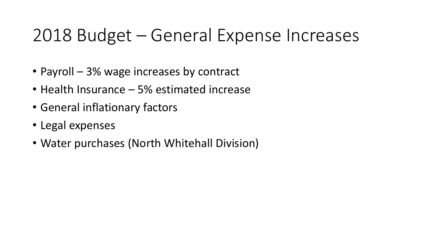#### 2018 Budget – General Expense Increases

- Payroll 3% wage increases by contract
- Health Insurance 5% estimated increase
- General inflationary factors
- Legal expenses
- Water purchases (North Whitehall Division)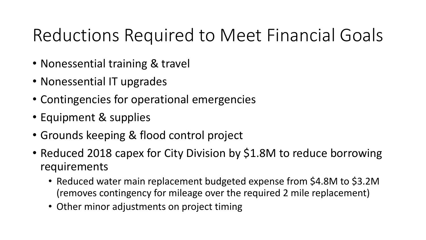#### Reductions Required to Meet Financial Goals

- Nonessential training & travel
- Nonessential IT upgrades
- Contingencies for operational emergencies
- Equipment & supplies
- Grounds keeping & flood control project
- Reduced 2018 capex for City Division by \$1.8M to reduce borrowing requirements
	- Reduced water main replacement budgeted expense from \$4.8M to \$3.2M (removes contingency for mileage over the required 2 mile replacement)
	- Other minor adjustments on project timing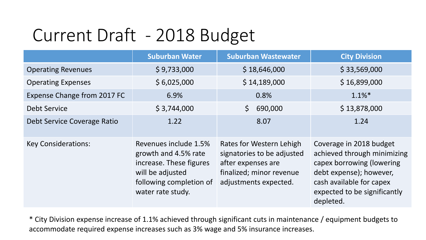#### Current Draft - 2018 Budget

|                             | <b>Suburban Water</b>                                                                                                                        | <b>Suburban Wastewater</b>                                                                                                        | <b>City Division</b>                                                                                                                                                                    |
|-----------------------------|----------------------------------------------------------------------------------------------------------------------------------------------|-----------------------------------------------------------------------------------------------------------------------------------|-----------------------------------------------------------------------------------------------------------------------------------------------------------------------------------------|
| <b>Operating Revenues</b>   | \$9,733,000                                                                                                                                  | \$18,646,000                                                                                                                      | \$33,569,000                                                                                                                                                                            |
| <b>Operating Expenses</b>   | \$6,025,000                                                                                                                                  | \$14,189,000                                                                                                                      | \$16,899,000                                                                                                                                                                            |
| Expense Change from 2017 FC | 6.9%                                                                                                                                         | 0.8%                                                                                                                              | $1.1\%$ <sup>*</sup>                                                                                                                                                                    |
| Debt Service                | \$3,744,000                                                                                                                                  | $\mathsf{S}$<br>690,000                                                                                                           | \$13,878,000                                                                                                                                                                            |
| Debt Service Coverage Ratio | 1.22                                                                                                                                         | 8.07                                                                                                                              | 1.24                                                                                                                                                                                    |
| <b>Key Considerations:</b>  | Revenues include 1.5%<br>growth and 4.5% rate<br>increase. These figures<br>will be adjusted<br>following completion of<br>water rate study. | Rates for Western Lehigh<br>signatories to be adjusted<br>after expenses are<br>finalized; minor revenue<br>adjustments expected. | Coverage in 2018 budget<br>achieved through minimizing<br>capex borrowing (lowering<br>debt expense); however,<br>cash available for capex<br>expected to be significantly<br>depleted. |

\* City Division expense increase of 1.1% achieved through significant cuts in maintenance / equipment budgets to accommodate required expense increases such as 3% wage and 5% insurance increases.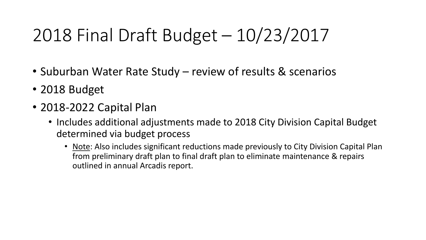# 2018 Final Draft Budget – 10/23/2017

- Suburban Water Rate Study review of results & scenarios
- 2018 Budget
- 2018-2022 Capital Plan
	- Includes additional adjustments made to 2018 City Division Capital Budget determined via budget process
		- Note: Also includes significant reductions made previously to City Division Capital Plan from preliminary draft plan to final draft plan to eliminate maintenance & repairs outlined in annual Arcadis report.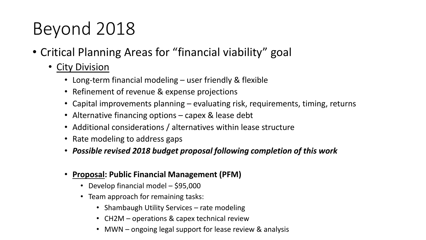# Beyond 2018

- Critical Planning Areas for "financial viability" goal
	- City Division
		- Long-term financial modeling user friendly & flexible
		- Refinement of revenue & expense projections
		- Capital improvements planning evaluating risk, requirements, timing, returns
		- Alternative financing options capex & lease debt
		- Additional considerations / alternatives within lease structure
		- Rate modeling to address gaps
		- *Possible revised 2018 budget proposal following completion of this work*
		- **Proposal: Public Financial Management (PFM)**
			- Develop financial model \$95,000
			- Team approach for remaining tasks:
				- Shambaugh Utility Services rate modeling
				- CH2M operations & capex technical review
				- MWN ongoing legal support for lease review & analysis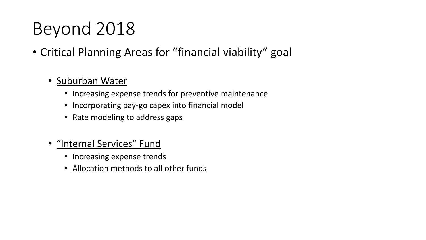### Beyond 2018

- Critical Planning Areas for "financial viability" goal
	- Suburban Water
		- Increasing expense trends for preventive maintenance
		- Incorporating pay-go capex into financial model
		- Rate modeling to address gaps
	- "Internal Services" Fund
		- Increasing expense trends
		- Allocation methods to all other funds